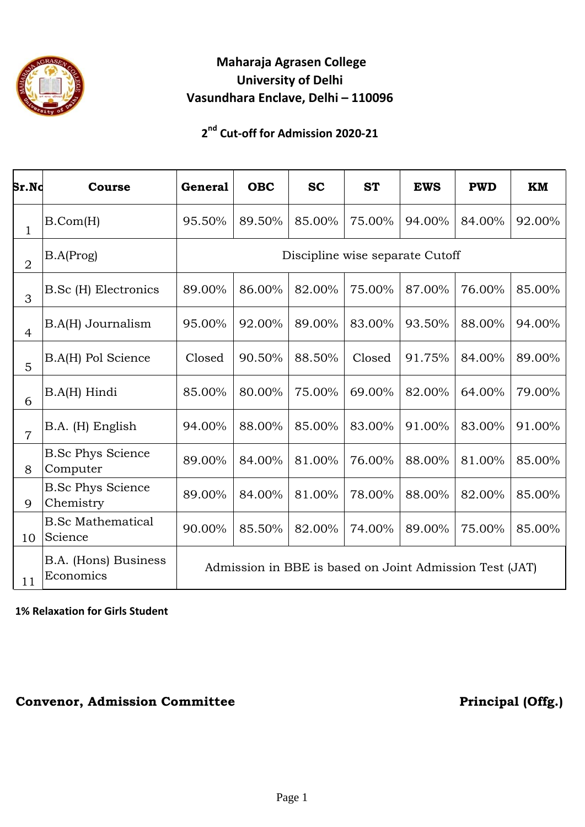

## **Maharaja Agrasen College University of Delhi Vasundhara Enclave, Delhi – 110096**

### **2 nd Cut-off for Admission 2020-21**

| Sr.Nc          | <b>Course</b>                         | <b>General</b>                                          | <b>OBC</b> | <b>SC</b> | <b>ST</b> | <b>EWS</b> | <b>PWD</b> | <b>KM</b> |  |  |  |  |
|----------------|---------------------------------------|---------------------------------------------------------|------------|-----------|-----------|------------|------------|-----------|--|--|--|--|
| $\mathbf{1}$   | B.Com(H)                              | 95.50%                                                  | 89.50%     | 85.00%    | 75.00%    | 94.00%     | 84.00%     | 92.00%    |  |  |  |  |
| $\overline{2}$ | B.A(Prog)                             | Discipline wise separate Cutoff                         |            |           |           |            |            |           |  |  |  |  |
| 3              | B.Sc (H) Electronics                  | 89.00%                                                  | 86.00%     | 82.00%    | 75.00%    | 87.00%     | 76.00%     | 85.00%    |  |  |  |  |
| $\overline{4}$ | B.A(H) Journalism                     | 95.00%                                                  | 92.00%     | 89.00%    | 83.00%    | 93.50%     | 88.00%     | 94.00%    |  |  |  |  |
| 5              | B.A(H) Pol Science                    | Closed                                                  | 90.50%     | 88.50%    | Closed    | 91.75%     | 84.00%     | 89.00%    |  |  |  |  |
| 6              | B.A(H) Hindi                          | 85.00%                                                  | 80.00%     | 75.00%    | 69.00%    | 82.00%     | 64.00%     | 79.00%    |  |  |  |  |
| $\overline{7}$ | B.A. (H) English                      | 94.00%                                                  | 88.00%     | 85.00%    | 83.00%    | 91.00%     | 83.00%     | 91.00%    |  |  |  |  |
| 8              | <b>B.Sc Phys Science</b><br>Computer  | 89.00%                                                  | 84.00%     | 81.00%    | 76.00%    | 88.00%     | 81.00%     | 85.00%    |  |  |  |  |
| 9              | <b>B.Sc Phys Science</b><br>Chemistry | 89.00%                                                  | 84.00%     | 81.00%    | 78.00%    | 88.00%     | 82.00%     | 85.00%    |  |  |  |  |
| 10             | <b>B.Sc Mathematical</b><br>Science   | 90.00%                                                  | 85.50%     | 82.00%    | 74.00%    | 89.00%     | 75.00%     | 85.00%    |  |  |  |  |
| 11             | B.A. (Hons) Business<br>Economics     | Admission in BBE is based on Joint Admission Test (JAT) |            |           |           |            |            |           |  |  |  |  |

#### **1% Relaxation for Girls Student**

#### **Convenor, Admission Committee** *Principal* **(Offg.)**